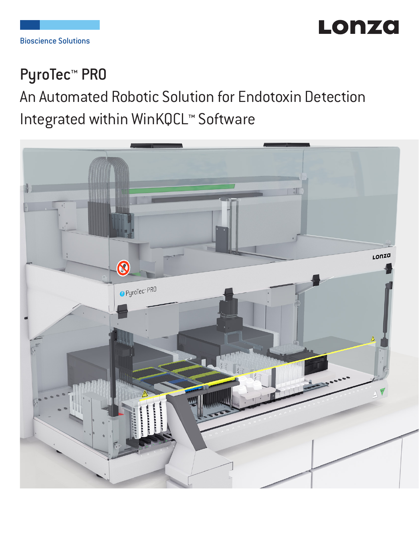

## PyroTec<sup>™</sup> PRO

# An Automated Robotic Solution for Endotoxin Detection Integrated within WinKQCL™ Software

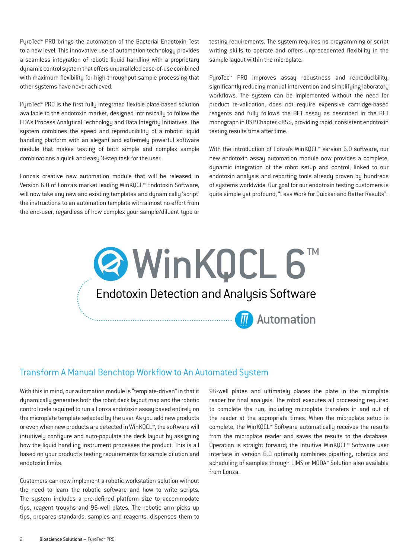PyroTec™ PRO brings the automation of the Bacterial Endotoxin Test to a new level. This innovative use of automation technology provides a seamless integration of robotic liquid handling with a proprietary dynamic control system that offers unparalleled ease-of-use combined with maximum flexibility for high-throughput sample processing that other systems have never achieved.

PyroTec™ PRO is the first fully integrated flexible plate-based solution available to the endotoxin market, designed intrinsically to follow the FDA's Process Analytical Technology and Data Integrity Initiatives. The system combines the speed and reproducibility of a robotic liquid handling platform with an elegant and extremely powerful software module that makes testing of both simple and complex sample combinations a quick and easy 3-step task for the user.

Lonza's creative new automation module that will be released in Version 6.0 of Lonza's market leading WinKQCL™ Endotoxin Software, will now take any new and existing templates and dynamically 'script' the instructions to an automation template with almost no effort from the end-user, regardless of how complex your sample/diluent type or

testing requirements. The system requires no programming or script writing skills to operate and offers unprecedented flexibility in the sample layout within the microplate.

PyroTec™ PRO improves assay robustness and reproducibility, significantly reducing manual intervention and simplifying laboratory workflows. The system can be implemented without the need for product re-validation, does not require expensive cartridge-based reagents and fully follows the BET assay as described in the BET monograph in USP Chapter <85>, providing rapid, consistent endotoxin testing results time after time.

With the introduction of Lonza's WinKQCL™ Version 6.0 software, our new endotoxin assay automation module now provides a complete, dynamic integration of the robot setup and control, linked to our endotoxin analysis and reporting tools already proven by hundreds of systems worldwide. Our goal for our endotoxin testing customers is quite simple yet profound, "Less Work for Quicker and Better Results":



#### Transform A Manual Benchtop Workflow to An Automated System

With this in mind, our automation module is "template-driven" in that it dynamically generates both the robot deck layout map and the robotic control code required to run a Lonza endotoxin assay based entirely on the microplate template selected by the user. As you add new products or even when new products are detected in WinKQCL™, the software will intuitively configure and auto-populate the deck layout by assigning how the liquid handling instrument processes the product. This is all based on your product's testing requirements for sample dilution and endotoxin limits.

Customers can now implement a robotic workstation solution without the need to learn the robotic software and how to write scripts. The system includes a pre-defined platform size to accommodate tips, reagent troughs and 96-well plates. The robotic arm picks up tips, prepares standards, samples and reagents, dispenses them to

96-well plates and ultimately places the plate in the microplate reader for final analysis. The robot executes all processing required to complete the run, including microplate transfers in and out of the reader at the appropriate times. When the microplate setup is complete, the WinKQCL™ Software automatically receives the results from the microplate reader and saves the results to the database. Operation is straight forward; the intuitive WinKQCL™ Software user interface in version 6.0 optimally combines pipetting, robotics and scheduling of samples through LIMS or MODA™ Solution also available from Lonza.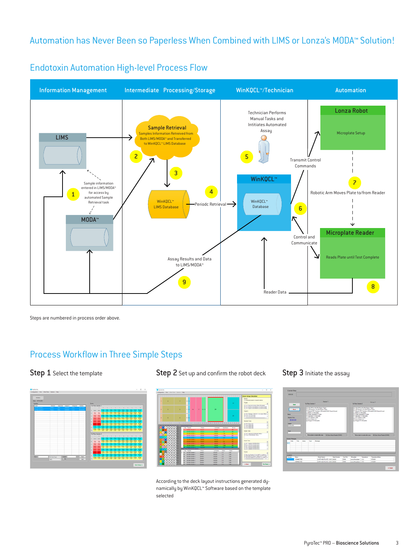#### Automation has Never Been so Paperless When Combined with LIMS or Lonza's MODA™ Solution!



Endotoxin Automation High-Level Process Flow Endotoxin Automation High-level Process Flow

Steps are numbered in process order above.

### Process Workflow in Three Simple Steps



Step 1 Select the template Step 2 Set up and confirm the robot deck



According to the deck layout instructions generated dynamically by WinKQCL™ Software based on the template selected

#### Step 3 Initiate the assay

| 00:00:00                                          |              |           |                                                        |                                                                                                                                                            |                                |                 |                                                                          |                                                                                                   |                                                      |  |
|---------------------------------------------------|--------------|-----------|--------------------------------------------------------|------------------------------------------------------------------------------------------------------------------------------------------------------------|--------------------------------|-----------------|--------------------------------------------------------------------------|---------------------------------------------------------------------------------------------------|------------------------------------------------------|--|
|                                                   |              |           |                                                        | Annoy 1                                                                                                                                                    |                                |                 |                                                                          |                                                                                                   | Annoy 2                                              |  |
|                                                   | Stat         |           | Full Plate Remodes 1                                   |                                                                                                                                                            | Full Plate Samples 2           |                 |                                                                          |                                                                                                   |                                                      |  |
| Setup                                             | <b>North</b> |           | <b>Banks To Morcolate</b><br><b>FFC Spiegeto Piete</b> | Add Sangle to All LRIIT Diution Tubes<br>Regular/PPC Samples to Monolate D.RIN Disert If and?<br>Course Shandwork In Traver<br><b>Sandario To Monetare</b> |                                |                 | Barks To Morssige<br><b>PPC Solves to Flate</b><br><b>Become Av 1 At</b> | Add Sample to All LRW Dilution Tubes<br>Course Shandwick in Tubure<br><b>Sandario To Monocida</b> | Regular PPC Samples to Morgolate B/RW Diluent Blanch |  |
| <b>Flamed Time</b><br>Sygan<br>INTALIZED<br>Soke. | 000000       |           | <b>Decoration Life</b>                                 | <b>Respect To Morselate</b><br>- Move plate to reader after one                                                                                            | All Zeros Vitual Reader (COM3) |                 | Pi Resourt To Monolate                                                   | [-7] Move plate to reader after prep                                                              | All Zeros Vitual Floader (COMS)                      |  |
| <b>Rutine Hessages</b>                            |              |           |                                                        |                                                                                                                                                            |                                |                 |                                                                          |                                                                                                   |                                                      |  |
| Date<br>٠                                         | Time         | Asser     | Type                                                   | Мелавое                                                                                                                                                    |                                |                 |                                                                          |                                                                                                   |                                                      |  |
|                                                   |              |           |                                                        |                                                                                                                                                            |                                |                 |                                                                          |                                                                                                   |                                                      |  |
| housen                                            |              |           |                                                        |                                                                                                                                                            |                                |                 |                                                                          |                                                                                                   |                                                      |  |
| Number                                            | <b>Sala</b>  | CONNECTED |                                                        | <b>Model/Marshall</b><br>Q MTP-HEATPLATE 1.8.00 XXXXXX                                                                                                     | <b>Sacial Number</b>           | Con Rot<br>CONN | Mondate<br>Loran Horoclde-1                                              | Temperature<br>37 B                                                                               | TemperatureShakus<br><b>STRADY</b>                   |  |